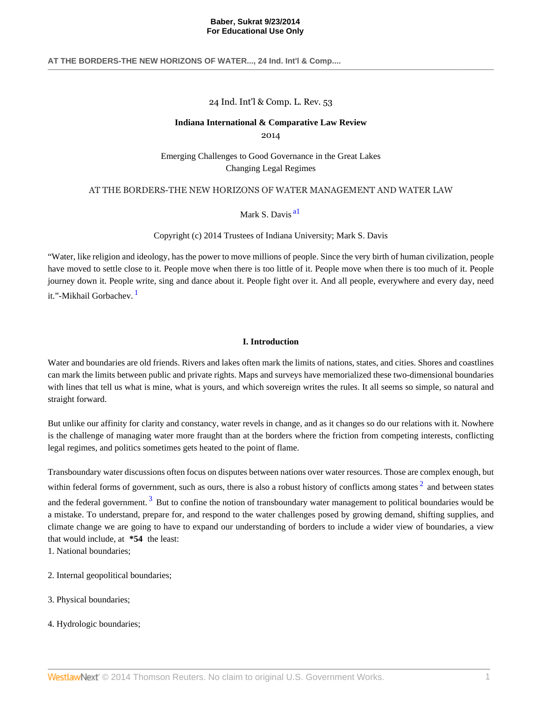**AT THE BORDERS-THE NEW HORIZONS OF WATER..., 24 Ind. Int'l & Comp....**

# 24 Ind. Int'l & Comp. L. Rev. 53

# **Indiana International & Comparative Law Review**

2014

Emerging Challenges to Good Governance in the Great Lakes Changing Legal Regimes

# AT THE BORDERS-THE NEW HORIZONS OF WATER MANAGEMENT AND WATER LAW

<span id="page-0-0"></span>Mark S. Davis<sup>[a1](#page-6-0)</sup>

<span id="page-0-1"></span>Copyright (c) 2014 Trustees of Indiana University; Mark S. Davis

"Water, like religion and ideology, has the power to move millions of people. Since the very birth of human civilization, people have moved to settle close to it. People move when there is too little of it. People move when there is too much of it. People journey down it. People write, sing and dance about it. People fight over it. And all people, everywhere and every day, need it."-Mikhail Gorbachev.<sup>[1](#page-6-1)</sup>

# <span id="page-0-2"></span>**I. Introduction**

Water and boundaries are old friends. Rivers and lakes often mark the limits of nations, states, and cities. Shores and coastlines can mark the limits between public and private rights. Maps and surveys have memorialized these two-dimensional boundaries with lines that tell us what is mine, what is yours, and which sovereign writes the rules. It all seems so simple, so natural and straight forward.

But unlike our affinity for clarity and constancy, water revels in change, and as it changes so do our relations with it. Nowhere is the challenge of managing water more fraught than at the borders where the friction from competing interests, conflicting legal regimes, and politics sometimes gets heated to the point of flame.

<span id="page-0-3"></span>Transboundary water discussions often focus on disputes between nations over water resources. Those are complex enough, but within federal forms of government, such as ours, there is also a robust history of conflicts among states  $2$  and between states and the federal government.<sup>[3](#page-6-3)</sup> But to confine the notion of transboundary water management to political boundaries would be a mistake. To understand, prepare for, and respond to the water challenges posed by growing demand, shifting supplies, and climate change we are going to have to expand our understanding of borders to include a wider view of boundaries, a view that would include, at **\*54** the least:

1. National boundaries;

- 2. Internal geopolitical boundaries;
- 3. Physical boundaries;
- 4. Hydrologic boundaries;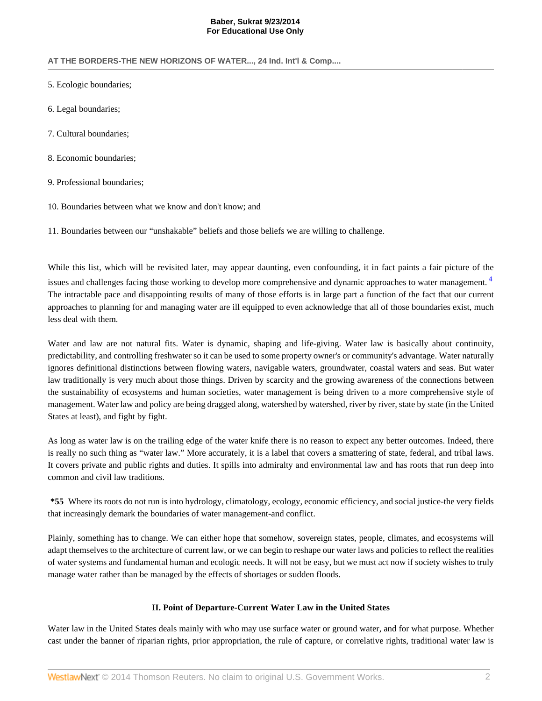# **AT THE BORDERS-THE NEW HORIZONS OF WATER..., 24 Ind. Int'l & Comp....**

- 5. Ecologic boundaries;
- 6. Legal boundaries;
- 7. Cultural boundaries;
- 8. Economic boundaries;
- 9. Professional boundaries;
- 10. Boundaries between what we know and don't know; and

11. Boundaries between our "unshakable" beliefs and those beliefs we are willing to challenge.

<span id="page-1-0"></span>While this list, which will be revisited later, may appear daunting, even confounding, it in fact paints a fair picture of the issues and challenges facing those working to develop more comprehensive and dynamic approaches to water management.<sup>[4](#page-6-4)</sup> The intractable pace and disappointing results of many of those efforts is in large part a function of the fact that our current approaches to planning for and managing water are ill equipped to even acknowledge that all of those boundaries exist, much less deal with them.

Water and law are not natural fits. Water is dynamic, shaping and life-giving. Water law is basically about continuity, predictability, and controlling freshwater so it can be used to some property owner's or community's advantage. Water naturally ignores definitional distinctions between flowing waters, navigable waters, groundwater, coastal waters and seas. But water law traditionally is very much about those things. Driven by scarcity and the growing awareness of the connections between the sustainability of ecosystems and human societies, water management is being driven to a more comprehensive style of management. Water law and policy are being dragged along, watershed by watershed, river by river, state by state (in the United States at least), and fight by fight.

As long as water law is on the trailing edge of the water knife there is no reason to expect any better outcomes. Indeed, there is really no such thing as "water law." More accurately, it is a label that covers a smattering of state, federal, and tribal laws. It covers private and public rights and duties. It spills into admiralty and environmental law and has roots that run deep into common and civil law traditions.

**\*55** Where its roots do not run is into hydrology, climatology, ecology, economic efficiency, and social justice-the very fields that increasingly demark the boundaries of water management-and conflict.

Plainly, something has to change. We can either hope that somehow, sovereign states, people, climates, and ecosystems will adapt themselves to the architecture of current law, or we can begin to reshape our water laws and policies to reflect the realities of water systems and fundamental human and ecologic needs. It will not be easy, but we must act now if society wishes to truly manage water rather than be managed by the effects of shortages or sudden floods.

# **II. Point of Departure-Current Water Law in the United States**

Water law in the United States deals mainly with who may use surface water or ground water, and for what purpose. Whether cast under the banner of riparian rights, prior appropriation, the rule of capture, or correlative rights, traditional water law is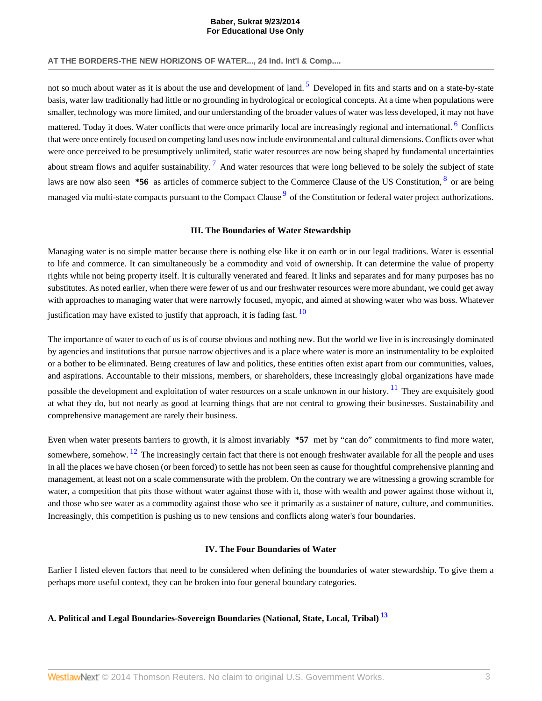# **AT THE BORDERS-THE NEW HORIZONS OF WATER..., 24 Ind. Int'l & Comp....**

not so much about water as it is about the use and development of land. <sup>[5](#page-6-5)</sup> Developed in fits and starts and on a state-by-state basis, water law traditionally had little or no grounding in hydrological or ecological concepts. At a time when populations were smaller, technology was more limited, and our understanding of the broader values of water was less developed, it may not have mattered. Today it does. Water conflicts that were once primarily local are increasingly regional and international. <sup>[6](#page-6-6)</sup> Conflicts that were once entirely focused on competing land uses now include environmental and cultural dimensions. Conflicts over what were once perceived to be presumptively unlimited, static water resources are now being shaped by fundamental uncertainties about stream flows and aquifer sustainability.<sup>[7](#page-6-7)</sup> And water resources that were long believed to be solely the subject of state laws are now also seen \*56 as articles of commerce subject to the Commerce Clause of the US Constitution, <sup>[8](#page-6-8)</sup> or are being managed via multi-state compacts pursuant to the Compact Clause  $9$  of the Constitution or federal water project authorizations.

#### <span id="page-2-5"></span><span id="page-2-4"></span><span id="page-2-3"></span><span id="page-2-2"></span><span id="page-2-1"></span><span id="page-2-0"></span>**III. The Boundaries of Water Stewardship**

Managing water is no simple matter because there is nothing else like it on earth or in our legal traditions. Water is essential to life and commerce. It can simultaneously be a commodity and void of ownership. It can determine the value of property rights while not being property itself. It is culturally venerated and feared. It links and separates and for many purposes has no substitutes. As noted earlier, when there were fewer of us and our freshwater resources were more abundant, we could get away with approaches to managing water that were narrowly focused, myopic, and aimed at showing water who was boss. Whatever justification may have existed to justify that approach, it is fading fast.  $\frac{10}{2}$  $\frac{10}{2}$  $\frac{10}{2}$ 

The importance of water to each of us is of course obvious and nothing new. But the world we live in is increasingly dominated by agencies and institutions that pursue narrow objectives and is a place where water is more an instrumentality to be exploited or a bother to be eliminated. Being creatures of law and politics, these entities often exist apart from our communities, values, and aspirations. Accountable to their missions, members, or shareholders, these increasingly global organizations have made possible the development and exploitation of water resources on a scale unknown in our history. <sup>[11](#page-6-11)</sup> They are exquisitely good at what they do, but not nearly as good at learning things that are not central to growing their businesses. Sustainability and comprehensive management are rarely their business.

<span id="page-2-7"></span>Even when water presents barriers to growth, it is almost invariably **\*57** met by "can do" commitments to find more water, somewhere, somehow.  $12$  The increasingly certain fact that there is not enough freshwater available for all the people and uses in all the places we have chosen (or been forced) to settle has not been seen as cause for thoughtful comprehensive planning and management, at least not on a scale commensurate with the problem. On the contrary we are witnessing a growing scramble for water, a competition that pits those without water against those with it, those with wealth and power against those without it, and those who see water as a commodity against those who see it primarily as a sustainer of nature, culture, and communities. Increasingly, this competition is pushing us to new tensions and conflicts along water's four boundaries.

#### <span id="page-2-8"></span><span id="page-2-6"></span>**IV. The Four Boundaries of Water**

Earlier I listed eleven factors that need to be considered when defining the boundaries of water stewardship. To give them a perhaps more useful context, they can be broken into four general boundary categories.

# **A. Political and Legal Boundaries-Sovereign Boundaries (National, State, Local, Tribal) [13](#page-7-0)**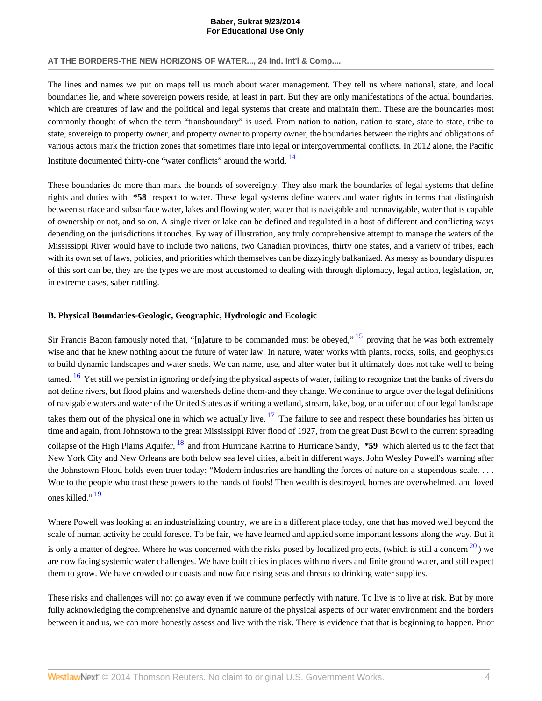# **AT THE BORDERS-THE NEW HORIZONS OF WATER..., 24 Ind. Int'l & Comp....**

The lines and names we put on maps tell us much about water management. They tell us where national, state, and local boundaries lie, and where sovereign powers reside, at least in part. But they are only manifestations of the actual boundaries, which are creatures of law and the political and legal systems that create and maintain them. These are the boundaries most commonly thought of when the term "transboundary" is used. From nation to nation, nation to state, state to state, tribe to state, sovereign to property owner, and property owner to property owner, the boundaries between the rights and obligations of various actors mark the friction zones that sometimes flare into legal or intergovernmental conflicts. In 2012 alone, the Pacific Institute documented thirty-one "water conflicts" around the world. [14](#page-7-1)

<span id="page-3-0"></span>These boundaries do more than mark the bounds of sovereignty. They also mark the boundaries of legal systems that define rights and duties with **\*58** respect to water. These legal systems define waters and water rights in terms that distinguish between surface and subsurface water, lakes and flowing water, water that is navigable and nonnavigable, water that is capable of ownership or not, and so on. A single river or lake can be defined and regulated in a host of different and conflicting ways depending on the jurisdictions it touches. By way of illustration, any truly comprehensive attempt to manage the waters of the Mississippi River would have to include two nations, two Canadian provinces, thirty one states, and a variety of tribes, each with its own set of laws, policies, and priorities which themselves can be dizzyingly balkanized. As messy as boundary disputes of this sort can be, they are the types we are most accustomed to dealing with through diplomacy, legal action, legislation, or, in extreme cases, saber rattling.

# **B. Physical Boundaries-Geologic, Geographic, Hydrologic and Ecologic**

<span id="page-3-3"></span><span id="page-3-2"></span><span id="page-3-1"></span>Sir Francis Bacon famously noted that, "[n]ature to be commanded must be obeyed,"  $^{15}$  $^{15}$  $^{15}$  proving that he was both extremely wise and that he knew nothing about the future of water law. In nature, water works with plants, rocks, soils, and geophysics to build dynamic landscapes and water sheds. We can name, use, and alter water but it ultimately does not take well to being tamed. <sup>[16](#page-7-3)</sup> Yet still we persist in ignoring or defying the physical aspects of water, failing to recognize that the banks of rivers do not define rivers, but flood plains and watersheds define them-and they change. We continue to argue over the legal definitions of navigable waters and water of the United States as if writing a wetland, stream, lake, bog, or aquifer out of our legal landscape takes them out of the physical one in which we actually live.  $17$  The failure to see and respect these boundaries has bitten us time and again, from Johnstown to the great Mississippi River flood of 1927, from the great Dust Bowl to the current spreading collapse of the High Plains Aquifer, [18](#page-7-5) and from Hurricane Katrina to Hurricane Sandy, **\*59** which alerted us to the fact that New York City and New Orleans are both below sea level cities, albeit in different ways. John Wesley Powell's warning after the Johnstown Flood holds even truer today: "Modern industries are handling the forces of nature on a stupendous scale. . . . Woe to the people who trust these powers to the hands of fools! Then wealth is destroyed, homes are overwhelmed, and loved ones killed."<sup>[19](#page-7-6)</sup>

<span id="page-3-6"></span><span id="page-3-5"></span><span id="page-3-4"></span>Where Powell was looking at an industrializing country, we are in a different place today, one that has moved well beyond the scale of human activity he could foresee. To be fair, we have learned and applied some important lessons along the way. But it is only a matter of degree. Where he was concerned with the risks posed by localized projects, (which is still a concern  $20$ ) we are now facing systemic water challenges. We have built cities in places with no rivers and finite ground water, and still expect them to grow. We have crowded our coasts and now face rising seas and threats to drinking water supplies.

These risks and challenges will not go away even if we commune perfectly with nature. To live is to live at risk. But by more fully acknowledging the comprehensive and dynamic nature of the physical aspects of our water environment and the borders between it and us, we can more honestly assess and live with the risk. There is evidence that that is beginning to happen. Prior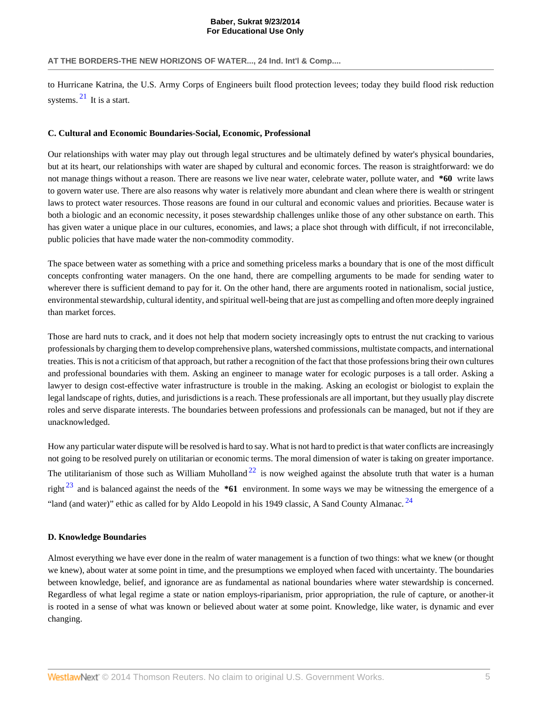**AT THE BORDERS-THE NEW HORIZONS OF WATER..., 24 Ind. Int'l & Comp....**

<span id="page-4-0"></span>to Hurricane Katrina, the U.S. Army Corps of Engineers built flood protection levees; today they build flood risk reduction systems.  $2<sup>1</sup>$  It is a start.

# **C. Cultural and Economic Boundaries-Social, Economic, Professional**

Our relationships with water may play out through legal structures and be ultimately defined by water's physical boundaries, but at its heart, our relationships with water are shaped by cultural and economic forces. The reason is straightforward: we do not manage things without a reason. There are reasons we live near water, celebrate water, pollute water, and **\*60** write laws to govern water use. There are also reasons why water is relatively more abundant and clean where there is wealth or stringent laws to protect water resources. Those reasons are found in our cultural and economic values and priorities. Because water is both a biologic and an economic necessity, it poses stewardship challenges unlike those of any other substance on earth. This has given water a unique place in our cultures, economies, and laws; a place shot through with difficult, if not irreconcilable, public policies that have made water the non-commodity commodity.

The space between water as something with a price and something priceless marks a boundary that is one of the most difficult concepts confronting water managers. On the one hand, there are compelling arguments to be made for sending water to wherever there is sufficient demand to pay for it. On the other hand, there are arguments rooted in nationalism, social justice, environmental stewardship, cultural identity, and spiritual well-being that are just as compelling and often more deeply ingrained than market forces.

Those are hard nuts to crack, and it does not help that modern society increasingly opts to entrust the nut cracking to various professionals by charging them to develop comprehensive plans, watershed commissions, multistate compacts, and international treaties. This is not a criticism of that approach, but rather a recognition of the fact that those professions bring their own cultures and professional boundaries with them. Asking an engineer to manage water for ecologic purposes is a tall order. Asking a lawyer to design cost-effective water infrastructure is trouble in the making. Asking an ecologist or biologist to explain the legal landscape of rights, duties, and jurisdictions is a reach. These professionals are all important, but they usually play discrete roles and serve disparate interests. The boundaries between professions and professionals can be managed, but not if they are unacknowledged.

<span id="page-4-2"></span><span id="page-4-1"></span>How any particular water dispute will be resolved is hard to say. What is not hard to predict is that water conflicts are increasingly not going to be resolved purely on utilitarian or economic terms. The moral dimension of water is taking on greater importance. The utilitarianism of those such as William Muholland  $22$  is now weighed against the absolute truth that water is a human right [23](#page-7-10) and is balanced against the needs of the **\*61** environment. In some ways we may be witnessing the emergence of a "land (and water)" ethic as called for by Aldo Leopold in his 1949 classic, A Sand County Almanac.  $^{24}$  $^{24}$  $^{24}$ 

# <span id="page-4-3"></span>**D. Knowledge Boundaries**

Almost everything we have ever done in the realm of water management is a function of two things: what we knew (or thought we knew), about water at some point in time, and the presumptions we employed when faced with uncertainty. The boundaries between knowledge, belief, and ignorance are as fundamental as national boundaries where water stewardship is concerned. Regardless of what legal regime a state or nation employs-riparianism, prior appropriation, the rule of capture, or another-it is rooted in a sense of what was known or believed about water at some point. Knowledge, like water, is dynamic and ever changing.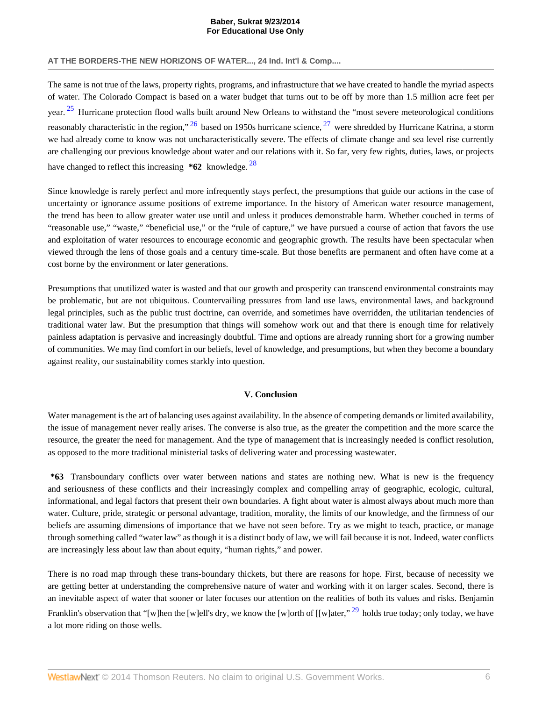# **AT THE BORDERS-THE NEW HORIZONS OF WATER..., 24 Ind. Int'l & Comp....**

<span id="page-5-2"></span><span id="page-5-1"></span><span id="page-5-0"></span>The same is not true of the laws, property rights, programs, and infrastructure that we have created to handle the myriad aspects of water. The Colorado Compact is based on a water budget that turns out to be off by more than 1.5 million acre feet per year. <sup>[25](#page-7-12)</sup> Hurricane protection flood walls built around New Orleans to withstand the "most severe meteorological conditions" reasonably characteristic in the region,"  $^{26}$  $^{26}$  $^{26}$  based on 1950s hurricane science,  $^{27}$  $^{27}$  $^{27}$  were shredded by Hurricane Katrina, a storm we had already come to know was not uncharacteristically severe. The effects of climate change and sea level rise currently are challenging our previous knowledge about water and our relations with it. So far, very few rights, duties, laws, or projects have changed to reflect this increasing **\*62** knowledge.<sup>[28](#page-8-2)</sup>

<span id="page-5-3"></span>Since knowledge is rarely perfect and more infrequently stays perfect, the presumptions that guide our actions in the case of uncertainty or ignorance assume positions of extreme importance. In the history of American water resource management, the trend has been to allow greater water use until and unless it produces demonstrable harm. Whether couched in terms of "reasonable use," "waste," "beneficial use," or the "rule of capture," we have pursued a course of action that favors the use and exploitation of water resources to encourage economic and geographic growth. The results have been spectacular when viewed through the lens of those goals and a century time-scale. But those benefits are permanent and often have come at a cost borne by the environment or later generations.

Presumptions that unutilized water is wasted and that our growth and prosperity can transcend environmental constraints may be problematic, but are not ubiquitous. Countervailing pressures from land use laws, environmental laws, and background legal principles, such as the public trust doctrine, can override, and sometimes have overridden, the utilitarian tendencies of traditional water law. But the presumption that things will somehow work out and that there is enough time for relatively painless adaptation is pervasive and increasingly doubtful. Time and options are already running short for a growing number of communities. We may find comfort in our beliefs, level of knowledge, and presumptions, but when they become a boundary against reality, our sustainability comes starkly into question.

# <span id="page-5-4"></span>**V. Conclusion**

Water management is the art of balancing uses against availability. In the absence of competing demands or limited availability, the issue of management never really arises. The converse is also true, as the greater the competition and the more scarce the resource, the greater the need for management. And the type of management that is increasingly needed is conflict resolution, as opposed to the more traditional ministerial tasks of delivering water and processing wastewater.

**\*63** Transboundary conflicts over water between nations and states are nothing new. What is new is the frequency and seriousness of these conflicts and their increasingly complex and compelling array of geographic, ecologic, cultural, informational, and legal factors that present their own boundaries. A fight about water is almost always about much more than water. Culture, pride, strategic or personal advantage, tradition, morality, the limits of our knowledge, and the firmness of our beliefs are assuming dimensions of importance that we have not seen before. Try as we might to teach, practice, or manage through something called "water law" as though it is a distinct body of law, we will fail because it is not. Indeed, water conflicts are increasingly less about law than about equity, "human rights," and power.

There is no road map through these trans-boundary thickets, but there are reasons for hope. First, because of necessity we are getting better at understanding the comprehensive nature of water and working with it on larger scales. Second, there is an inevitable aspect of water that sooner or later focuses our attention on the realities of both its values and risks. Benjamin Franklin's observation that "[w]hen the [w]ell's dry, we know the [w]orth of [[w]ater,"  $^{29}$  $^{29}$  $^{29}$  holds true today; only today, we have a lot more riding on those wells.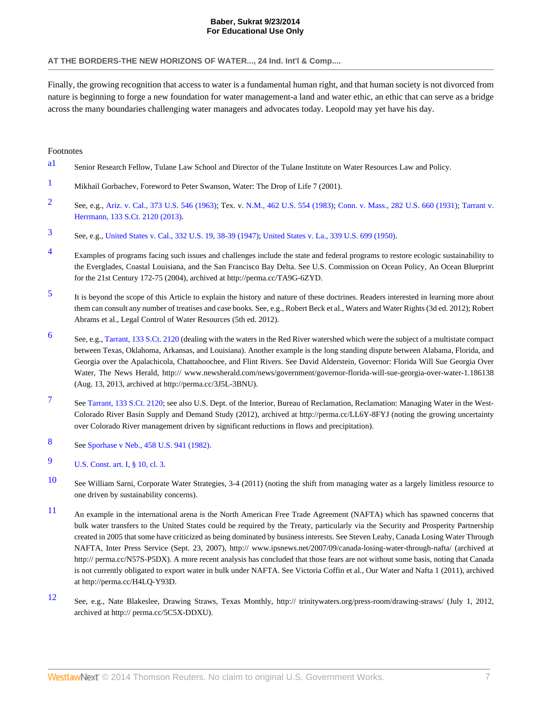# **AT THE BORDERS-THE NEW HORIZONS OF WATER..., 24 Ind. Int'l & Comp....**

Finally, the growing recognition that access to water is a fundamental human right, and that human society is not divorced from nature is beginning to forge a new foundation for water management-a land and water ethic, an ethic that can serve as a bridge across the many boundaries challenging water managers and advocates today. Leopold may yet have his day.

# Footnotes

- <span id="page-6-0"></span>[a1](#page-0-0) Senior Research Fellow, Tulane Law School and Director of the Tulane Institute on Water Resources Law and Policy.
- <span id="page-6-1"></span>[1](#page-0-1) Mikhail Gorbachev, Foreword to Peter Swanson, Water: The Drop of Life  $7$  (2001).
- <span id="page-6-2"></span>[2](#page-0-2) See, e.g., [Ariz. v. Cal., 373 U.S. 546 \(1963\);](http://www.westlaw.com/Link/Document/FullText?findType=Y&serNum=1963104966&pubNum=0000780&originationContext=document&vr=3.0&rs=cblt1.0&transitionType=DocumentItem&contextData=(sc.Search)) Tex. v. [N.M., 462 U.S. 554 \(1983\);](http://www.westlaw.com/Link/Document/FullText?findType=Y&serNum=1983128639&pubNum=0000780&originationContext=document&vr=3.0&rs=cblt1.0&transitionType=DocumentItem&contextData=(sc.Search)) [Conn. v. Mass., 282 U.S. 660 \(1931\);](http://www.westlaw.com/Link/Document/FullText?findType=Y&serNum=1931123939&pubNum=0000780&originationContext=document&vr=3.0&rs=cblt1.0&transitionType=DocumentItem&contextData=(sc.Search)) [Tarrant v.](http://www.westlaw.com/Link/Document/FullText?findType=Y&serNum=2030717667&pubNum=0000708&originationContext=document&vr=3.0&rs=cblt1.0&transitionType=DocumentItem&contextData=(sc.Search)) [Herrmann, 133 S.Ct. 2120 \(2013\)](http://www.westlaw.com/Link/Document/FullText?findType=Y&serNum=2030717667&pubNum=0000708&originationContext=document&vr=3.0&rs=cblt1.0&transitionType=DocumentItem&contextData=(sc.Search)).
- <span id="page-6-3"></span>[3](#page-0-3) See, e.g., [United States v. Cal., 332 U.S. 19, 38-39 \(1947\)](http://www.westlaw.com/Link/Document/FullText?findType=Y&serNum=1947117398&pubNum=0000780&fi=co_pp_sp_780_38&originationContext=document&vr=3.0&rs=cblt1.0&transitionType=DocumentItem&contextData=(sc.Search)#co_pp_sp_780_38); [United States v. La., 339 U.S. 699 \(1950\).](http://www.westlaw.com/Link/Document/FullText?findType=Y&serNum=1950119809&pubNum=0000780&originationContext=document&vr=3.0&rs=cblt1.0&transitionType=DocumentItem&contextData=(sc.Search))
- <span id="page-6-4"></span>[4](#page-1-0) Examples of programs facing such issues and challenges include the state and federal programs to restore ecologic sustainability to the Everglades, Coastal Louisiana, and the San Francisco Bay Delta. See U.S. Commission on Ocean Policy, An Ocean Blueprint for the 21st Century 172-75 (2004), archived at http://perma.cc/TA9G-6ZYD.
- <span id="page-6-5"></span>[5](#page-2-0) It is beyond the scope of this Article to explain the history and nature of these doctrines. Readers interested in learning more about them can consult any number of treatises and case books. See, e.g., Robert Beck et al., Waters and Water Rights (3d ed. 2012); Robert Abrams et al., Legal Control of Water Resources (5th ed. 2012).
- <span id="page-6-6"></span>[6](#page-2-1) See, e.g., [Tarrant, 133 S.Ct. 2120](http://www.westlaw.com/Link/Document/FullText?findType=Y&serNum=2030717667&pubNum=0000708&originationContext=document&vr=3.0&rs=cblt1.0&transitionType=DocumentItem&contextData=(sc.Search)) (dealing with the waters in the Red River watershed which were the subject of a multistate compact between Texas, Oklahoma, Arkansas, and Louisiana). Another example is the long standing dispute between Alabama, Florida, and Georgia over the Apalachicola, Chattahoochee, and Flint Rivers. See David Alderstein, Governor: Florida Will Sue Georgia Over Water, The News Herald, http:// www.newsherald.com/news/government/governor-florida-will-sue-georgia-over-water-1.186138 (Aug. 13, 2013, archived at http://perma.cc/3J5L-3BNU).
- <span id="page-6-7"></span>[7](#page-2-2) See [Tarrant, 133 S.Ct. 2120;](http://www.westlaw.com/Link/Document/FullText?findType=Y&serNum=2030717667&pubNum=0000708&originationContext=document&vr=3.0&rs=cblt1.0&transitionType=DocumentItem&contextData=(sc.Search)) see also U.S. Dept. of the Interior, Bureau of Reclamation, Reclamation: Managing Water in the West-Colorado River Basin Supply and Demand Study (2012), archived at http://perma.cc/LL6Y-8FYJ (noting the growing uncertainty over Colorado River management driven by significant reductions in flows and precipitation).
- <span id="page-6-8"></span>[8](#page-2-3) See [Sporhase v Neb., 458 U.S. 941 \(1982\).](http://www.westlaw.com/Link/Document/FullText?findType=Y&serNum=1982130121&pubNum=0000780&originationContext=document&vr=3.0&rs=cblt1.0&transitionType=DocumentItem&contextData=(sc.Search))
- <span id="page-6-9"></span>[9](#page-2-4) [U.S. Const. art. I, § 10, cl. 3.](http://www.westlaw.com/Link/Document/FullText?findType=L&pubNum=1000583&cite=USCOARTIS10CL3&originatingDoc=Id23509c3e19311e398db8b09b4f043e0&refType=LQ&originationContext=document&vr=3.0&rs=cblt1.0&transitionType=DocumentItem&contextData=(sc.Search))
- <span id="page-6-10"></span>[10](#page-2-5) See William Sarni, Corporate Water Strategies, 3-4 (2011) (noting the shift from managing water as a largely limitless resource to one driven by sustainability concerns).
- <span id="page-6-11"></span>[11](#page-2-6) An example in the international arena is the North American Free Trade Agreement (NAFTA) which has spawned concerns that bulk water transfers to the United States could be required by the Treaty, particularly via the Security and Prosperity Partnership created in 2005 that some have criticized as being dominated by business interests. See Steven Leahy, Canada Losing Water Through NAFTA, Inter Press Service (Sept. 23, 2007), http:// www.ipsnews.net/2007/09/canada-losing-water-through-nafta/ (archived at http:// perma.cc/N57S-P5DX). A more recent analysis has concluded that those fears are not without some basis, noting that Canada is not currently obligated to export water in bulk under NAFTA. See Victoria Coffin et al., Our Water and Nafta 1 (2011), archived at http://perma.cc/H4LQ-Y93D.
- <span id="page-6-12"></span>[12](#page-2-7) See, e.g., Nate Blakeslee, Drawing Straws, Texas Monthly, http:// trinitywaters.org/press-room/drawing-straws/ (July 1, 2012, archived at http:// perma.cc/5C5X-DDXU).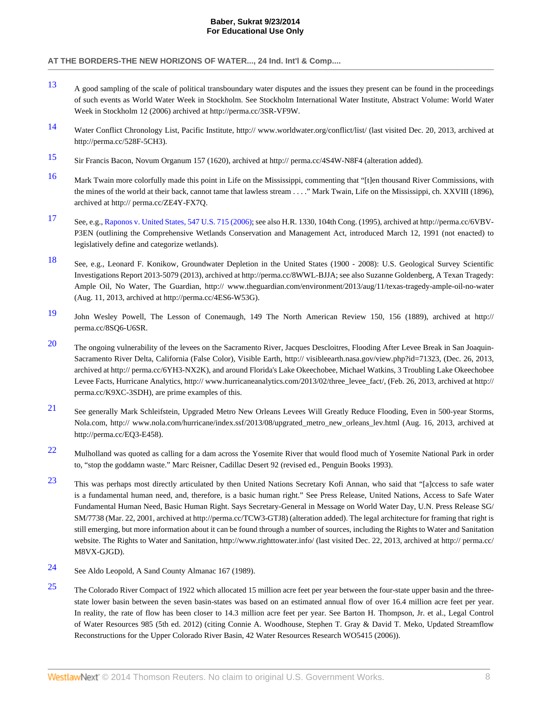# **AT THE BORDERS-THE NEW HORIZONS OF WATER..., 24 Ind. Int'l & Comp....**

- <span id="page-7-0"></span>[13](#page-2-8) A good sampling of the scale of political transboundary water disputes and the issues they present can be found in the proceedings of such events as World Water Week in Stockholm. See Stockholm International Water Institute, Abstract Volume: World Water Week in Stockholm 12 (2006) archived at http://perma.cc/3SR-VF9W.
- <span id="page-7-1"></span>[14](#page-3-0) Water Conflict Chronology List, Pacific Institute, http://www.worldwater.org/conflict/list/ (last visited Dec. 20, 2013, archived at http://perma.cc/528F-5CH3).
- <span id="page-7-2"></span>[15](#page-3-1) Sir Francis Bacon, Novum Organum 157 (1620), archived at http:// perma.cc/4S4W-N8F4 (alteration added).
- <span id="page-7-3"></span>[16](#page-3-2) Mark Twain more colorfully made this point in Life on the Mississippi, commenting that "[t]en thousand River Commissions, with the mines of the world at their back, cannot tame that lawless stream . . . ." Mark Twain, Life on the Mississippi, ch. XXVIII (1896), archived at http:// perma.cc/ZE4Y-FX7Q.
- <span id="page-7-4"></span>[17](#page-3-3) See, e.g., [Raponos v. United States, 547 U.S. 715 \(2006\);](http://www.westlaw.com/Link/Document/FullText?findType=Y&serNum=2009382759&pubNum=0000780&originationContext=document&vr=3.0&rs=cblt1.0&transitionType=DocumentItem&contextData=(sc.Search)) see also H.R. 1330, 104th Cong. (1995), archived at http://perma.cc/6VBV-P3EN (outlining the Comprehensive Wetlands Conservation and Management Act, introduced March 12, 1991 (not enacted) to legislatively define and categorize wetlands).
- <span id="page-7-5"></span>[18](#page-3-4) See, e.g., Leonard F. Konikow, Groundwater Depletion in the United States (1900 - 2008): U.S. Geological Survey Scientific Investigations Report 2013-5079 (2013), archived at http://perma.cc/8WWL-BJJA; see also Suzanne Goldenberg, A Texan Tragedy: Ample Oil, No Water, The Guardian, http:// www.theguardian.com/environment/2013/aug/11/texas-tragedy-ample-oil-no-water (Aug. 11, 2013, archived at http://perma.cc/4ES6-W53G).
- <span id="page-7-6"></span>[19](#page-3-5) John Wesley Powell, The Lesson of Conemaugh, 149 The North American Review 150, 156 (1889), archived at http:// perma.cc/8SQ6-U6SR.
- <span id="page-7-7"></span> $20$  The ongoing vulnerability of the levees on the Sacramento River, Jacques Descloitres, Flooding After Levee Break in San Joaquin-Sacramento River Delta, California (False Color), Visible Earth, http:// visibleearth.nasa.gov/view.php?id=71323, (Dec. 26, 2013, archived at http:// perma.cc/6YH3-NX2K), and around Florida's Lake Okeechobee, Michael Watkins, 3 Troubling Lake Okeechobee Levee Facts, Hurricane Analytics, http:// www.hurricaneanalytics.com/2013/02/three\_levee\_fact/, (Feb. 26, 2013, archived at http:// perma.cc/K9XC-3SDH), are prime examples of this.
- <span id="page-7-8"></span>[21](#page-4-0) See generally Mark Schleifstein, Upgraded Metro New Orleans Levees Will Greatly Reduce Flooding, Even in 500-year Storms, Nola.com, http:// www.nola.com/hurricane/index.ssf/2013/08/upgrated\_metro\_new\_orleans\_lev.html (Aug. 16, 2013, archived at http://perma.cc/EQ3-E458).
- <span id="page-7-9"></span>[22](#page-4-1) Mulholland was quoted as calling for a dam across the Yosemite River that would flood much of Yosemite National Park in order to, "stop the goddamn waste." Marc Reisner, Cadillac Desert 92 (revised ed., Penguin Books 1993).
- <span id="page-7-10"></span>[23](#page-4-2) This was perhaps most directly articulated by then United Nations Secretary Kofi Annan, who said that "[a]ccess to safe water is a fundamental human need, and, therefore, is a basic human right." See Press Release, United Nations, Access to Safe Water Fundamental Human Need, Basic Human Right. Says Secretary-General in Message on World Water Day, U.N. Press Release SG/ SM/7738 (Mar. 22, 2001, archived at http://perma.cc/TCW3-GTJ8) (alteration added). The legal architecture for framing that right is still emerging, but more information about it can be found through a number of sources, including the Rights to Water and Sanitation website. The Rights to Water and Sanitation, http://www.righttowater.info/ (last visited Dec. 22, 2013, archived at http:// perma.cc/ M8VX-GJGD).
- <span id="page-7-11"></span>[24](#page-4-3) See Aldo Leopold, A Sand County Almanac 167 (1989).
- <span id="page-7-12"></span> $25$  The Colorado River Compact of 1922 which allocated 15 million acre feet per year between the four-state upper basin and the threestate lower basin between the seven basin-states was based on an estimated annual flow of over 16.4 million acre feet per year. In reality, the rate of flow has been closer to 14.3 million acre feet per year. See Barton H. Thompson, Jr. et al., Legal Control of Water Resources 985 (5th ed. 2012) (citing Connie A. Woodhouse, Stephen T. Gray & David T. Meko, Updated Streamflow Reconstructions for the Upper Colorado River Basin, 42 Water Resources Research WO5415 (2006)).